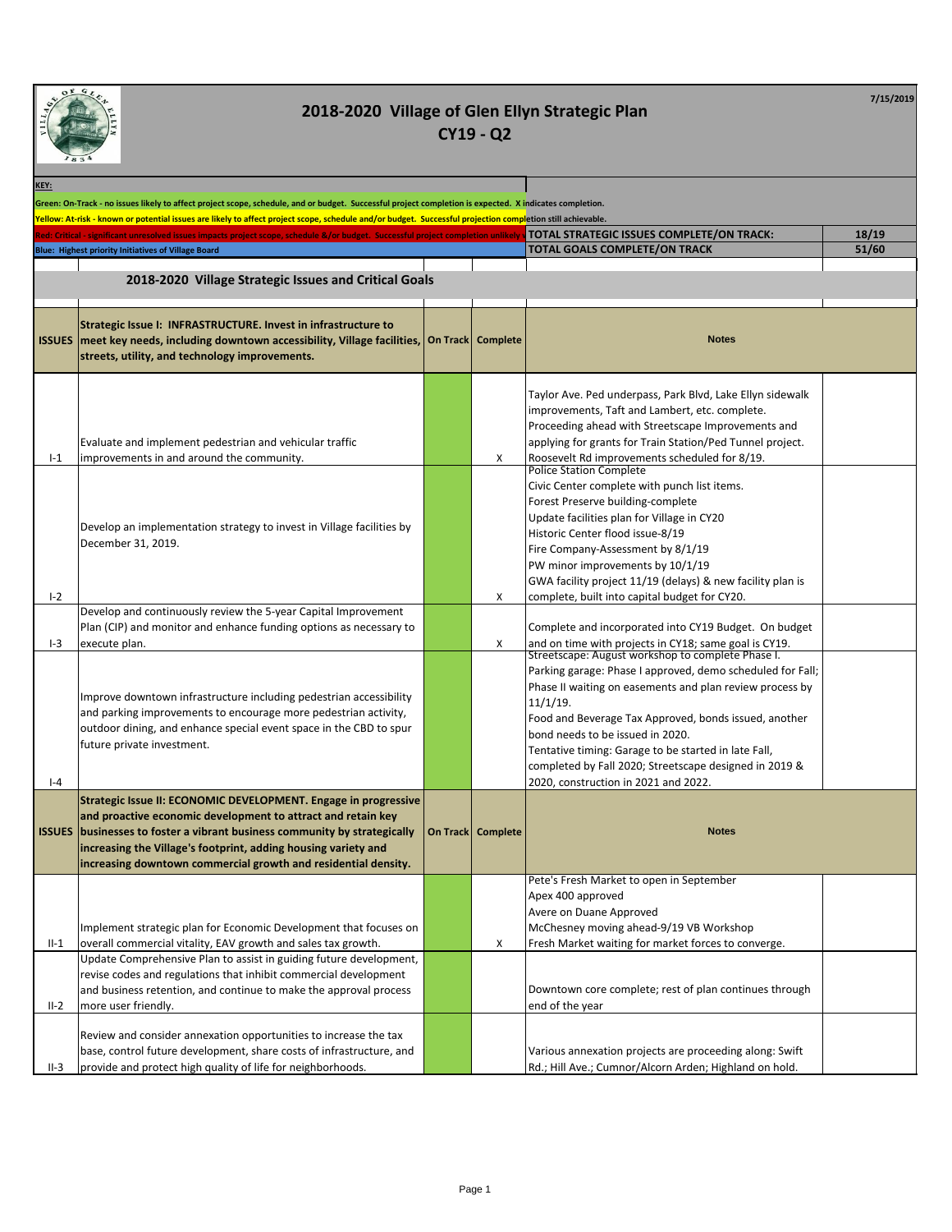

| 1834          |                                                                                                                                                                                                                                                                                                                                                         |                     |                                                                                                                                                                                                                                                                                                                                                                                                                                                   |                |
|---------------|---------------------------------------------------------------------------------------------------------------------------------------------------------------------------------------------------------------------------------------------------------------------------------------------------------------------------------------------------------|---------------------|---------------------------------------------------------------------------------------------------------------------------------------------------------------------------------------------------------------------------------------------------------------------------------------------------------------------------------------------------------------------------------------------------------------------------------------------------|----------------|
| KEY:          |                                                                                                                                                                                                                                                                                                                                                         |                     |                                                                                                                                                                                                                                                                                                                                                                                                                                                   |                |
|               | Green: On-Track - no issues likely to affect project scope, schedule, and or budget. Successful project completion is expected. X indicates completion.                                                                                                                                                                                                 |                     |                                                                                                                                                                                                                                                                                                                                                                                                                                                   |                |
|               | Yellow: At-risk - known or potential issues are likely to affect project scope, schedule and/or budget. Successful projection completion still achievable.                                                                                                                                                                                              |                     |                                                                                                                                                                                                                                                                                                                                                                                                                                                   |                |
|               | Red: Critical - significant unresolved issues impacts project scope, schedule &/or budget. Successful project completion unlikely<br><b>Blue: Highest priority Initiatives of Village Board</b>                                                                                                                                                         |                     | TOTAL STRATEGIC ISSUES COMPLETE/ON TRACK:<br>TOTAL GOALS COMPLETE/ON TRACK                                                                                                                                                                                                                                                                                                                                                                        | 18/19<br>51/60 |
|               |                                                                                                                                                                                                                                                                                                                                                         |                     |                                                                                                                                                                                                                                                                                                                                                                                                                                                   |                |
|               | 2018-2020 Village Strategic Issues and Critical Goals                                                                                                                                                                                                                                                                                                   |                     |                                                                                                                                                                                                                                                                                                                                                                                                                                                   |                |
|               |                                                                                                                                                                                                                                                                                                                                                         |                     |                                                                                                                                                                                                                                                                                                                                                                                                                                                   |                |
| <b>ISSUES</b> | Strategic Issue I: INFRASTRUCTURE. Invest in infrastructure to<br>meet key needs, including downtown accessibility, Village facilities,<br>streets, utility, and technology improvements.                                                                                                                                                               | On Track   Complete | <b>Notes</b>                                                                                                                                                                                                                                                                                                                                                                                                                                      |                |
| $I-1$         | Evaluate and implement pedestrian and vehicular traffic<br>improvements in and around the community.                                                                                                                                                                                                                                                    | х                   | Taylor Ave. Ped underpass, Park Blvd, Lake Ellyn sidewalk<br>improvements, Taft and Lambert, etc. complete.<br>Proceeding ahead with Streetscape Improvements and<br>applying for grants for Train Station/Ped Tunnel project.<br>Roosevelt Rd improvements scheduled for 8/19.                                                                                                                                                                   |                |
| $I-2$         | Develop an implementation strategy to invest in Village facilities by<br>December 31, 2019.                                                                                                                                                                                                                                                             | X                   | <b>Police Station Complete</b><br>Civic Center complete with punch list items.<br>Forest Preserve building-complete<br>Update facilities plan for Village in CY20<br>Historic Center flood issue-8/19<br>Fire Company-Assessment by 8/1/19<br>PW minor improvements by 10/1/19<br>GWA facility project 11/19 (delays) & new facility plan is<br>complete, built into capital budget for CY20.                                                     |                |
| $I-3$         | Develop and continuously review the 5-year Capital Improvement<br>Plan (CIP) and monitor and enhance funding options as necessary to<br>execute plan.                                                                                                                                                                                                   | X                   | Complete and incorporated into CY19 Budget. On budget<br>and on time with projects in CY18; same goal is CY19.                                                                                                                                                                                                                                                                                                                                    |                |
| $ -4$         | Improve downtown infrastructure including pedestrian accessibility<br>and parking improvements to encourage more pedestrian activity,<br>outdoor dining, and enhance special event space in the CBD to spur<br>future private investment.                                                                                                               |                     | Streetscape: August workshop to complete Phase I.<br>Parking garage: Phase I approved, demo scheduled for Fall;<br>Phase II waiting on easements and plan review process by<br>$11/1/19$ .<br>Food and Beverage Tax Approved, bonds issued, another<br>bond needs to be issued in 2020.<br>Tentative timing: Garage to be started in late Fall,<br>completed by Fall 2020; Streetscape designed in 2019 &<br>2020, construction in 2021 and 2022. |                |
|               | Strategic Issue II: ECONOMIC DEVELOPMENT. Engage in progressive<br>and proactive economic development to attract and retain key<br><b>ISSUES</b> businesses to foster a vibrant business community by strategically<br>increasing the Village's footprint, adding housing variety and<br>increasing downtown commercial growth and residential density. | On Track   Complete | <b>Notes</b>                                                                                                                                                                                                                                                                                                                                                                                                                                      |                |
| $II-1$        | Implement strategic plan for Economic Development that focuses on<br>overall commercial vitality, EAV growth and sales tax growth.                                                                                                                                                                                                                      | х                   | Pete's Fresh Market to open in September<br>Apex 400 approved<br>Avere on Duane Approved<br>McChesney moving ahead-9/19 VB Workshop<br>Fresh Market waiting for market forces to converge.                                                                                                                                                                                                                                                        |                |
| $II-2$        | Update Comprehensive Plan to assist in guiding future development,<br>revise codes and regulations that inhibit commercial development<br>and business retention, and continue to make the approval process<br>more user friendly.                                                                                                                      |                     | Downtown core complete; rest of plan continues through<br>end of the year                                                                                                                                                                                                                                                                                                                                                                         |                |
| II-3          | Review and consider annexation opportunities to increase the tax<br>base, control future development, share costs of infrastructure, and<br>provide and protect high quality of life for neighborhoods.                                                                                                                                                 |                     | Various annexation projects are proceeding along: Swift<br>Rd.; Hill Ave.; Cumnor/Alcorn Arden; Highland on hold.                                                                                                                                                                                                                                                                                                                                 |                |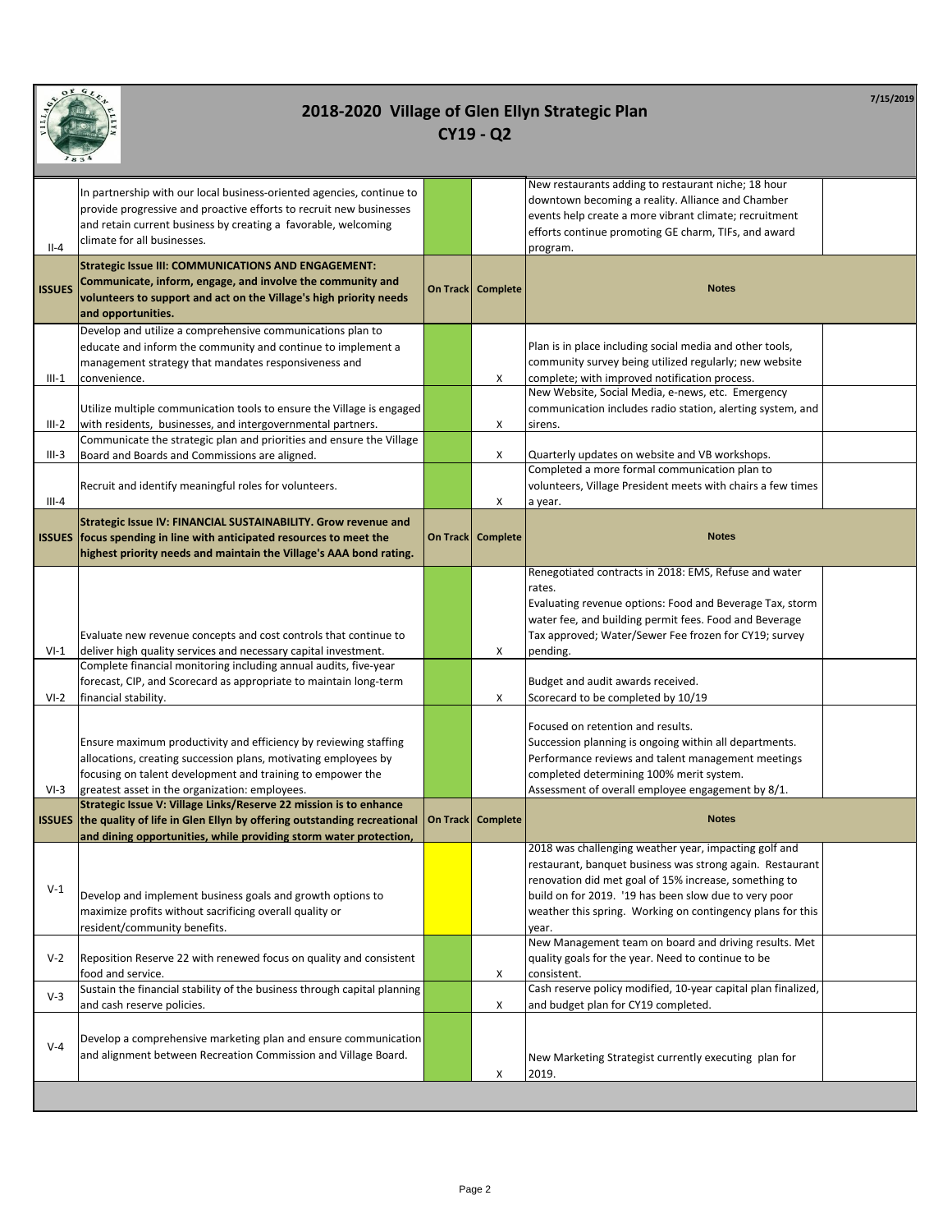

| $II-4$         | In partnership with our local business-oriented agencies, continue to<br>provide progressive and proactive efforts to recruit new businesses<br>and retain current business by creating a favorable, welcoming<br>climate for all businesses.                                                                                                                            |                     | New restaurants adding to restaurant niche; 18 hour<br>downtown becoming a reality. Alliance and Chamber<br>events help create a more vibrant climate; recruitment<br>efforts continue promoting GE charm, TIFs, and award<br>program.                                                                                                                                                                                               |
|----------------|--------------------------------------------------------------------------------------------------------------------------------------------------------------------------------------------------------------------------------------------------------------------------------------------------------------------------------------------------------------------------|---------------------|--------------------------------------------------------------------------------------------------------------------------------------------------------------------------------------------------------------------------------------------------------------------------------------------------------------------------------------------------------------------------------------------------------------------------------------|
| <b>ISSUES</b>  | <b>Strategic Issue III: COMMUNICATIONS AND ENGAGEMENT:</b><br>Communicate, inform, engage, and involve the community and<br>volunteers to support and act on the Village's high priority needs<br>and opportunities.                                                                                                                                                     | On Track   Complete | <b>Notes</b>                                                                                                                                                                                                                                                                                                                                                                                                                         |
| $III-1$        | Develop and utilize a comprehensive communications plan to<br>educate and inform the community and continue to implement a<br>management strategy that mandates responsiveness and<br>convenience.                                                                                                                                                                       | x                   | Plan is in place including social media and other tools,<br>community survey being utilized regularly; new website<br>complete; with improved notification process.<br>New Website, Social Media, e-news, etc. Emergency                                                                                                                                                                                                             |
| $III-2$        | Utilize multiple communication tools to ensure the Village is engaged<br>with residents, businesses, and intergovernmental partners.                                                                                                                                                                                                                                     | X                   | communication includes radio station, alerting system, and<br>sirens.                                                                                                                                                                                                                                                                                                                                                                |
| $III-3$        | Communicate the strategic plan and priorities and ensure the Village<br>Board and Boards and Commissions are aligned.                                                                                                                                                                                                                                                    | X                   | Quarterly updates on website and VB workshops.<br>Completed a more formal communication plan to                                                                                                                                                                                                                                                                                                                                      |
| $III - 4$      | Recruit and identify meaningful roles for volunteers.                                                                                                                                                                                                                                                                                                                    | X                   | volunteers, Village President meets with chairs a few times<br>a year.                                                                                                                                                                                                                                                                                                                                                               |
| <b>ISSUES</b>  | Strategic Issue IV: FINANCIAL SUSTAINABILITY. Grow revenue and<br>focus spending in line with anticipated resources to meet the<br>highest priority needs and maintain the Village's AAA bond rating.                                                                                                                                                                    | On Track   Complete | <b>Notes</b>                                                                                                                                                                                                                                                                                                                                                                                                                         |
| VI-1<br>$VI-2$ | Evaluate new revenue concepts and cost controls that continue to<br>deliver high quality services and necessary capital investment.<br>Complete financial monitoring including annual audits, five-year<br>forecast, CIP, and Scorecard as appropriate to maintain long-term<br>financial stability.<br>Ensure maximum productivity and efficiency by reviewing staffing | x<br>X              | Renegotiated contracts in 2018: EMS, Refuse and water<br>rates.<br>Evaluating revenue options: Food and Beverage Tax, storm<br>water fee, and building permit fees. Food and Beverage<br>Tax approved; Water/Sewer Fee frozen for CY19; survey<br>pending.<br>Budget and audit awards received.<br>Scorecard to be completed by 10/19<br>Focused on retention and results.<br>Succession planning is ongoing within all departments. |
| $VI-3$         | allocations, creating succession plans, motivating employees by<br>focusing on talent development and training to empower the<br>greatest asset in the organization: employees.                                                                                                                                                                                          |                     | Performance reviews and talent management meetings<br>completed determining 100% merit system.<br>Assessment of overall employee engagement by 8/1.                                                                                                                                                                                                                                                                                  |
|                | Strategic Issue V: Village Links/Reserve 22 mission is to enhance<br>ISSUES the quality of life in Glen Ellyn by offering outstanding recreational<br>and dining opportunities, while providing storm water protection,                                                                                                                                                  | On Track Complete   | <b>Notes</b>                                                                                                                                                                                                                                                                                                                                                                                                                         |
| $V-1$          | Develop and implement business goals and growth options to<br>maximize profits without sacrificing overall quality or<br>resident/community benefits.                                                                                                                                                                                                                    |                     | 2018 was challenging weather year, impacting golf and<br>restaurant, banquet business was strong again. Restaurant<br>renovation did met goal of 15% increase, something to<br>build on for 2019. '19 has been slow due to very poor<br>weather this spring. Working on contingency plans for this<br>year.                                                                                                                          |
| $V-2$          | Reposition Reserve 22 with renewed focus on quality and consistent<br>food and service.                                                                                                                                                                                                                                                                                  | х                   | New Management team on board and driving results. Met<br>quality goals for the year. Need to continue to be<br>consistent.                                                                                                                                                                                                                                                                                                           |
| $V-3$          | Sustain the financial stability of the business through capital planning<br>and cash reserve policies.                                                                                                                                                                                                                                                                   | X                   | Cash reserve policy modified, 10-year capital plan finalized,<br>and budget plan for CY19 completed.                                                                                                                                                                                                                                                                                                                                 |
| $V-4$          | Develop a comprehensive marketing plan and ensure communication<br>and alignment between Recreation Commission and Village Board.                                                                                                                                                                                                                                        | х                   | New Marketing Strategist currently executing plan for<br>2019.                                                                                                                                                                                                                                                                                                                                                                       |
|                |                                                                                                                                                                                                                                                                                                                                                                          |                     |                                                                                                                                                                                                                                                                                                                                                                                                                                      |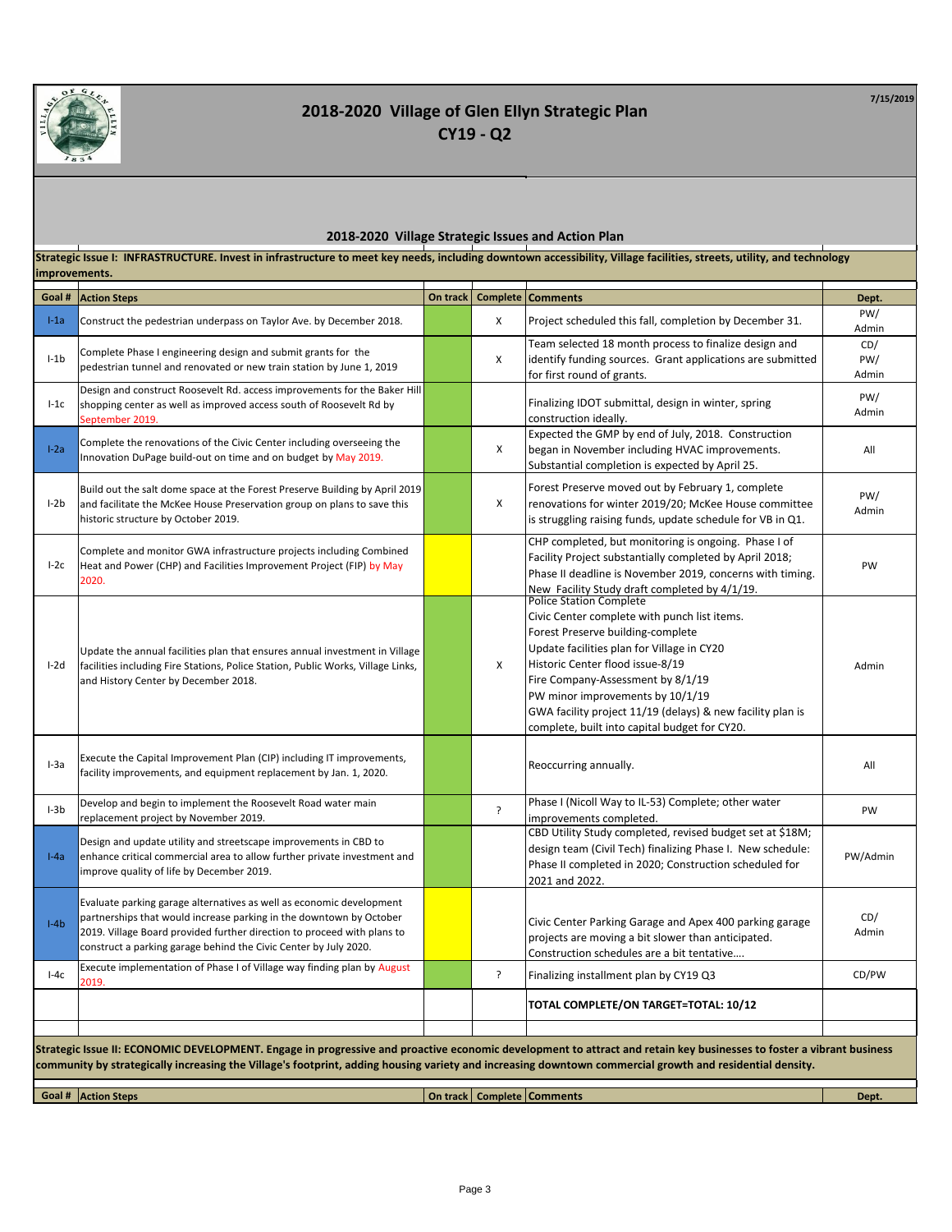

**7/15/2019**

#### **2018-2020 Village Strategic Issues and Action Plan**

**Comments Comments On track Comments Comments On track Comments Dept. Dept. Dept.** I-1a Construct the pedestrian underpass on Taylor Ave. by December 2018. <sup>X</sup> Project scheduled this fall, completion by December 31. PW/ Admin I-1b Complete Phase I engineering design and submit grants for the pedestrian tunnel and renovated or new train station by June 1, 2019 <sup>X</sup> Team selected 18 month process to finalize design and identify funding sources. Grant applications are submitted for first round of grants. CD/ PW/ Admin I-1c Design and construct Roosevelt Rd. access improvements for the Baker Hill shopping center as well as improved access south of Roosevelt Rd by September 2019. Finalizing IDOT submittal, design in winter, spring construction ideally. PW/ Admin **I-2a** Complete the renovations of the Civic Center including overseeing the Innovation DuPage build-out on time and on budget by May 2019. X Expected the GMP by end of July, 2018. Construction began in November including HVAC improvements. Substantial completion is expected by April 25. All I-2b Build out the salt dome space at the Forest Preserve Building by April 2019 and facilitate the McKee House Preservation group on plans to save this historic structure by October 2019. X Forest Preserve moved out by February 1, complete renovations for winter 2019/20; McKee House committee is struggling raising funds, update schedule for VB in Q1. PW/ Admin I-2c Complete and monitor GWA infrastructure projects including Combined Heat and Power (CHP) and Facilities Improvement Project (FIP) by May 2020. CHP completed, but monitoring is ongoing. Phase I of Facility Project substantially completed by April 2018; Phase II deadline is November 2019, concerns with timing. New Facility Study draft completed by 4/1/19. PW I-2d Update the annual facilities plan that ensures annual investment in Village facilities including Fire Stations, Police Station, Public Works, Village Links, and History Center by December 2018. X Police Station Complete Civic Center complete with punch list items. Forest Preserve building-complete Update facilities plan for Village in CY20 Historic Center flood issue-8/19 Fire Company-Assessment by 8/1/19 PW minor improvements by 10/1/19 GWA facility project 11/19 (delays) & new facility plan is complete, built into capital budget for CY20. Admin **I-3a** Execute the Capital Improvement Plan (CIP) including IT improvements, Execute the capital improvement rian (cir) including it improvements, executed and a represent provement by Jan. 1, 2020. I-3b Develop and begin to implement the Roosevelt Road water main pevelop and begin to implement the Roosevelt Road water main<br>replacement project by November 2019. Phase I (Nicoll Way to IL-53) Complete; other water Priase i (ivicuil way to it-55) complete, other water<br>improvements completed. I-4a Design and update utility and streetscape improvements in CBD to enhance critical commercial area to allow further private investment and improve quality of life by December 2019. CBD Utility Study completed, revised budget set at \$18M; design team (Civil Tech) finalizing Phase I. New schedule: Phase II completed in 2020; Construction scheduled for 2021 and 2022. PW/Admin I-4b Evaluate parking garage alternatives as well as economic development partnerships that would increase parking in the downtown by October 2019. Village Board provided further direction to proceed with plans to construct a parking garage behind the Civic Center by July 2020. Civic Center Parking Garage and Apex 400 parking garage projects are moving a bit slower than anticipated. Construction schedules are a bit tentative…. CD/ Admin **Execute implementation of Phase I of Village way finding plan by August**  $2010$ ? Finalizing installment plan by CY19 Q3 CD/PW **TOTAL COMPLETE/ON TARGET=TOTAL: 10/12** Strategic Issue II: ECONOMIC DEVELOPMENT. Engage in progressive and proactive economic development to attract and retain key businesses to foster a vibrant business **community by strategically increasing the Village's footprint, adding housing variety and increasing downtown commercial growth and residential density. Strategic Issue I: INFRASTRUCTURE. Invest in infrastructure to meet key needs, including downtown accessibility, Village facilities, streets, utility, and technology improvements.**

**Goal # Action Steps On track Complete Comments Dept.**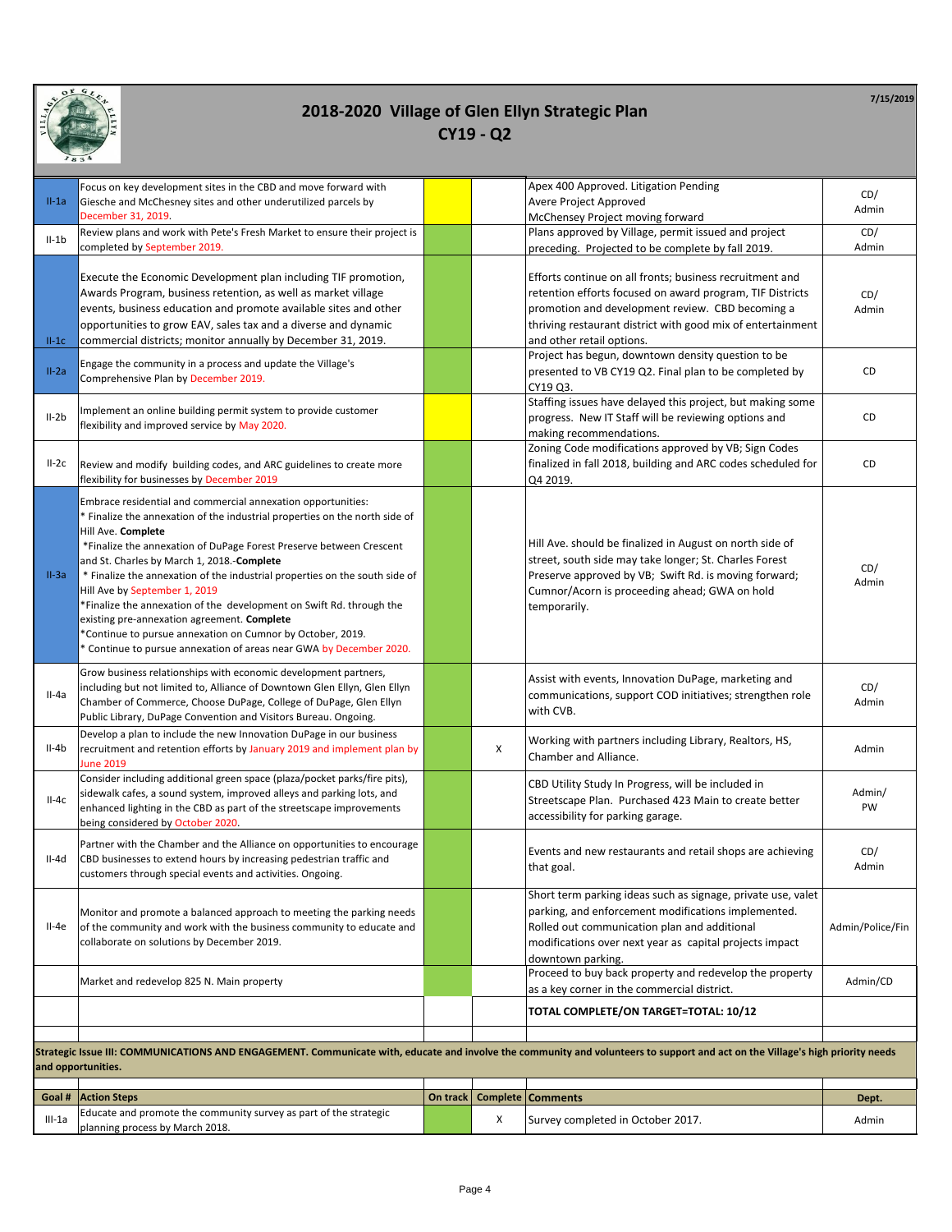

|          | Focus on key development sites in the CBD and move forward with                                                                                                                                                                                                                                                                                                                                                                                                                                                                                                                                                                                                    |          |   | Apex 400 Approved. Litigation Pending                                                                                                                                                                                                                                 | CD/              |
|----------|--------------------------------------------------------------------------------------------------------------------------------------------------------------------------------------------------------------------------------------------------------------------------------------------------------------------------------------------------------------------------------------------------------------------------------------------------------------------------------------------------------------------------------------------------------------------------------------------------------------------------------------------------------------------|----------|---|-----------------------------------------------------------------------------------------------------------------------------------------------------------------------------------------------------------------------------------------------------------------------|------------------|
| $II-1a$  | Giesche and McChesney sites and other underutilized parcels by<br>December 31, 2019.                                                                                                                                                                                                                                                                                                                                                                                                                                                                                                                                                                               |          |   | Avere Project Approved                                                                                                                                                                                                                                                | Admin            |
|          | Review plans and work with Pete's Fresh Market to ensure their project is                                                                                                                                                                                                                                                                                                                                                                                                                                                                                                                                                                                          |          |   | McChensey Project moving forward<br>Plans approved by Village, permit issued and project                                                                                                                                                                              | CD/              |
| $II-1b$  | completed by September 2019.                                                                                                                                                                                                                                                                                                                                                                                                                                                                                                                                                                                                                                       |          |   | preceding. Projected to be complete by fall 2019.                                                                                                                                                                                                                     | Admin            |
| $II-1C$  | Execute the Economic Development plan including TIF promotion,<br>Awards Program, business retention, as well as market village<br>events, business education and promote available sites and other<br>opportunities to grow EAV, sales tax and a diverse and dynamic<br>commercial districts; monitor annually by December 31, 2019.                                                                                                                                                                                                                                                                                                                              |          |   | Efforts continue on all fronts; business recruitment and<br>retention efforts focused on award program, TIF Districts<br>promotion and development review. CBD becoming a<br>thriving restaurant district with good mix of entertainment<br>and other retail options. | CD/<br>Admin     |
|          |                                                                                                                                                                                                                                                                                                                                                                                                                                                                                                                                                                                                                                                                    |          |   | Project has begun, downtown density question to be                                                                                                                                                                                                                    |                  |
| $II-2a$  | Engage the community in a process and update the Village's<br>Comprehensive Plan by December 2019.                                                                                                                                                                                                                                                                                                                                                                                                                                                                                                                                                                 |          |   | presented to VB CY19 Q2. Final plan to be completed by<br>CY19 Q3.                                                                                                                                                                                                    | CD               |
| $II-2b$  | Implement an online building permit system to provide customer<br>flexibility and improved service by May 2020.                                                                                                                                                                                                                                                                                                                                                                                                                                                                                                                                                    |          |   | Staffing issues have delayed this project, but making some<br>progress. New IT Staff will be reviewing options and<br>making recommendations.                                                                                                                         | CD               |
| $II-2c$  | Review and modify building codes, and ARC guidelines to create more<br>flexibility for businesses by December 2019                                                                                                                                                                                                                                                                                                                                                                                                                                                                                                                                                 |          |   | Zoning Code modifications approved by VB; Sign Codes<br>finalized in fall 2018, building and ARC codes scheduled for<br>Q4 2019.                                                                                                                                      | CD               |
| $II-3a$  | Embrace residential and commercial annexation opportunities:<br>* Finalize the annexation of the industrial properties on the north side of<br>Hill Ave. Complete<br>*Finalize the annexation of DuPage Forest Preserve between Crescent<br>and St. Charles by March 1, 2018.-Complete<br>* Finalize the annexation of the industrial properties on the south side of<br>Hill Ave by September 1, 2019<br>*Finalize the annexation of the development on Swift Rd. through the<br>existing pre-annexation agreement. Complete<br>*Continue to pursue annexation on Cumnor by October, 2019.<br>* Continue to pursue annexation of areas near GWA by December 2020. |          |   | Hill Ave. should be finalized in August on north side of<br>street, south side may take longer; St. Charles Forest<br>Preserve approved by VB; Swift Rd. is moving forward;<br>Cumnor/Acorn is proceeding ahead; GWA on hold<br>temporarily.                          | CD/<br>Admin     |
| $II-4a$  | Grow business relationships with economic development partners,<br>including but not limited to, Alliance of Downtown Glen Ellyn, Glen Ellyn<br>Chamber of Commerce, Choose DuPage, College of DuPage, Glen Ellyn<br>Public Library, DuPage Convention and Visitors Bureau. Ongoing.                                                                                                                                                                                                                                                                                                                                                                               |          |   | Assist with events, Innovation DuPage, marketing and<br>communications, support COD initiatives; strengthen role<br>with CVB.                                                                                                                                         | CD/<br>Admin     |
| II-4b    | Develop a plan to include the new Innovation DuPage in our business<br>recruitment and retention efforts by January 2019 and implement plan by<br><b>June 2019</b>                                                                                                                                                                                                                                                                                                                                                                                                                                                                                                 |          | X | Working with partners including Library, Realtors, HS,<br>Chamber and Alliance.                                                                                                                                                                                       | Admin            |
| $II-4c$  | Consider including additional green space (plaza/pocket parks/fire pits),<br>sidewalk cafes, a sound system, improved alleys and parking lots, and<br>enhanced lighting in the CBD as part of the streetscape improvements<br>being considered by October 2020.                                                                                                                                                                                                                                                                                                                                                                                                    |          |   | CBD Utility Study In Progress, will be included in<br>Streetscape Plan. Purchased 423 Main to create better<br>accessibility for parking garage.                                                                                                                      | Admin/<br>PW     |
| II-4d    | Partner with the Chamber and the Alliance on opportunities to encourage<br>CBD businesses to extend hours by increasing pedestrian traffic and<br>customers through special events and activities. Ongoing.                                                                                                                                                                                                                                                                                                                                                                                                                                                        |          |   | Events and new restaurants and retail shops are achieving<br>that goal.                                                                                                                                                                                               | CD/<br>Admin     |
| $II-4e$  | Monitor and promote a balanced approach to meeting the parking needs<br>of the community and work with the business community to educate and<br>collaborate on solutions by December 2019.                                                                                                                                                                                                                                                                                                                                                                                                                                                                         |          |   | Short term parking ideas such as signage, private use, valet<br>parking, and enforcement modifications implemented.<br>Rolled out communication plan and additional<br>modifications over next year as capital projects impact<br>downtown parking.                   | Admin/Police/Fin |
|          | Market and redevelop 825 N. Main property                                                                                                                                                                                                                                                                                                                                                                                                                                                                                                                                                                                                                          |          |   | Proceed to buy back property and redevelop the property<br>as a key corner in the commercial district.                                                                                                                                                                | Admin/CD         |
|          |                                                                                                                                                                                                                                                                                                                                                                                                                                                                                                                                                                                                                                                                    |          |   | TOTAL COMPLETE/ON TARGET=TOTAL: 10/12                                                                                                                                                                                                                                 |                  |
|          |                                                                                                                                                                                                                                                                                                                                                                                                                                                                                                                                                                                                                                                                    |          |   |                                                                                                                                                                                                                                                                       |                  |
|          | Strategic Issue III: COMMUNICATIONS AND ENGAGEMENT. Communicate with, educate and involve the community and volunteers to support and act on the Village's high priority needs<br>and opportunities.                                                                                                                                                                                                                                                                                                                                                                                                                                                               |          |   |                                                                                                                                                                                                                                                                       |                  |
| Goal #   | <b>Action Steps</b>                                                                                                                                                                                                                                                                                                                                                                                                                                                                                                                                                                                                                                                | On track |   | <b>Complete   Comments</b>                                                                                                                                                                                                                                            | Dept.            |
|          | Educate and promote the community survey as part of the strategic                                                                                                                                                                                                                                                                                                                                                                                                                                                                                                                                                                                                  |          |   |                                                                                                                                                                                                                                                                       |                  |
| $III-1a$ | planning process by March 2018.                                                                                                                                                                                                                                                                                                                                                                                                                                                                                                                                                                                                                                    |          | х | Survey completed in October 2017.                                                                                                                                                                                                                                     | Admin            |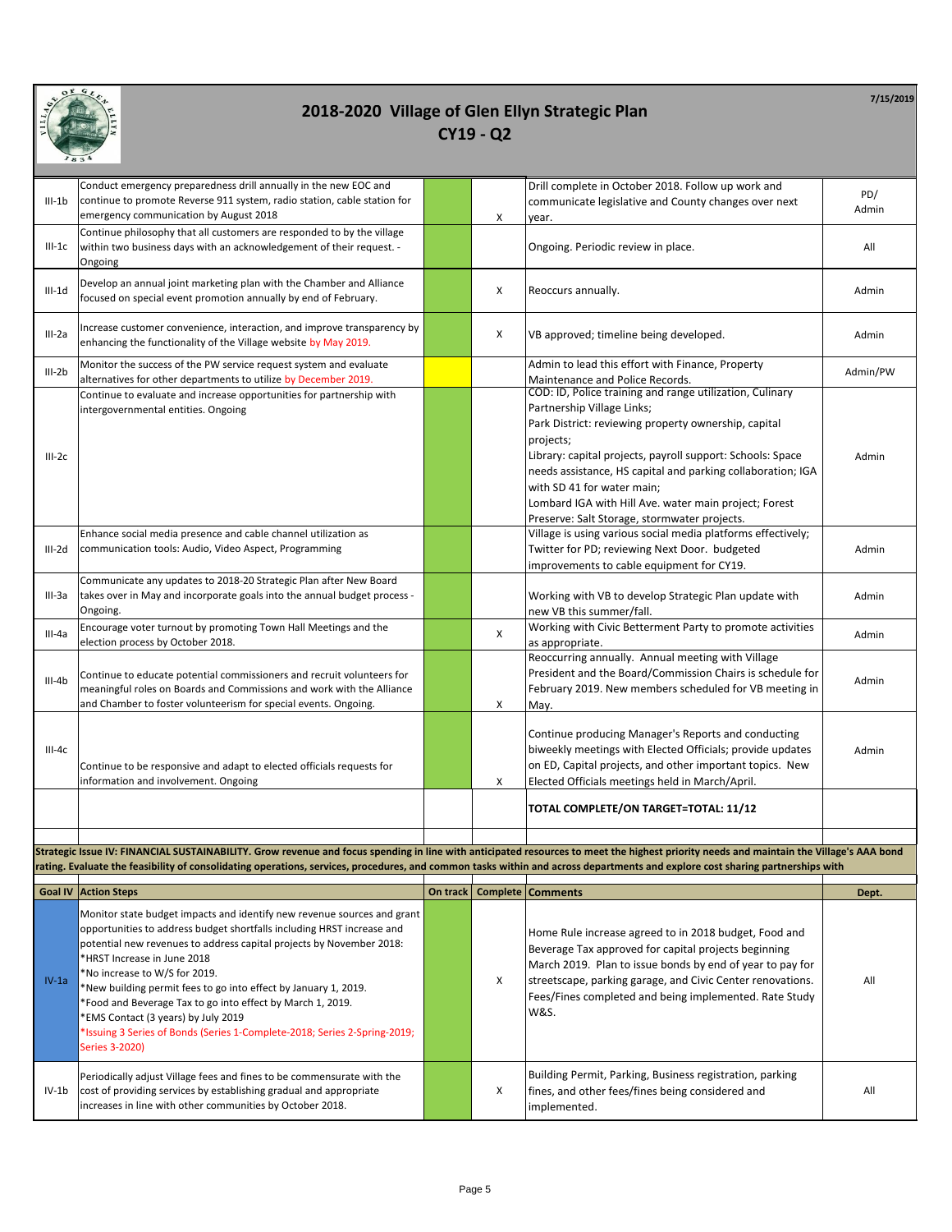

|                | Conduct emergency preparedness drill annually in the new EOC and                                                                                                                                                                                                                                                                                                                                                                                                                                                                                                 |          |          | Drill complete in October 2018. Follow up work and                                                                                                                                                                                                                                                                                                                                                                                                                                              |          |
|----------------|------------------------------------------------------------------------------------------------------------------------------------------------------------------------------------------------------------------------------------------------------------------------------------------------------------------------------------------------------------------------------------------------------------------------------------------------------------------------------------------------------------------------------------------------------------------|----------|----------|-------------------------------------------------------------------------------------------------------------------------------------------------------------------------------------------------------------------------------------------------------------------------------------------------------------------------------------------------------------------------------------------------------------------------------------------------------------------------------------------------|----------|
| $III-1b$       | continue to promote Reverse 911 system, radio station, cable station for                                                                                                                                                                                                                                                                                                                                                                                                                                                                                         |          |          | communicate legislative and County changes over next                                                                                                                                                                                                                                                                                                                                                                                                                                            | PD/      |
|                | emergency communication by August 2018                                                                                                                                                                                                                                                                                                                                                                                                                                                                                                                           |          | X        | year.                                                                                                                                                                                                                                                                                                                                                                                                                                                                                           | Admin    |
| $III-1C$       | Continue philosophy that all customers are responded to by the village<br>within two business days with an acknowledgement of their request. -                                                                                                                                                                                                                                                                                                                                                                                                                   |          |          | Ongoing. Periodic review in place.                                                                                                                                                                                                                                                                                                                                                                                                                                                              | All      |
|                | Ongoing                                                                                                                                                                                                                                                                                                                                                                                                                                                                                                                                                          |          |          |                                                                                                                                                                                                                                                                                                                                                                                                                                                                                                 |          |
| $III-1d$       | Develop an annual joint marketing plan with the Chamber and Alliance<br>focused on special event promotion annually by end of February.                                                                                                                                                                                                                                                                                                                                                                                                                          |          | X        | Reoccurs annually.                                                                                                                                                                                                                                                                                                                                                                                                                                                                              | Admin    |
| III-2a         | Increase customer convenience, interaction, and improve transparency by<br>enhancing the functionality of the Village website by May 2019.                                                                                                                                                                                                                                                                                                                                                                                                                       |          | Х        | VB approved; timeline being developed.                                                                                                                                                                                                                                                                                                                                                                                                                                                          | Admin    |
| $III-2b$       | Monitor the success of the PW service request system and evaluate<br>alternatives for other departments to utilize by December 2019.                                                                                                                                                                                                                                                                                                                                                                                                                             |          |          | Admin to lead this effort with Finance, Property<br>Maintenance and Police Records.                                                                                                                                                                                                                                                                                                                                                                                                             | Admin/PW |
| $III-2c$       | Continue to evaluate and increase opportunities for partnership with<br>intergovernmental entities. Ongoing<br>Enhance social media presence and cable channel utilization as                                                                                                                                                                                                                                                                                                                                                                                    |          |          | COD: ID, Police training and range utilization, Culinary<br>Partnership Village Links;<br>Park District: reviewing property ownership, capital<br>projects;<br>Library: capital projects, payroll support: Schools: Space<br>needs assistance, HS capital and parking collaboration; IGA<br>with SD 41 for water main;<br>Lombard IGA with Hill Ave. water main project; Forest<br>Preserve: Salt Storage, stormwater projects.<br>Village is using various social media platforms effectively; | Admin    |
| III-2d         | communication tools: Audio, Video Aspect, Programming                                                                                                                                                                                                                                                                                                                                                                                                                                                                                                            |          |          | Twitter for PD; reviewing Next Door. budgeted<br>improvements to cable equipment for CY19.                                                                                                                                                                                                                                                                                                                                                                                                      | Admin    |
| III-3a         | Communicate any updates to 2018-20 Strategic Plan after New Board<br>takes over in May and incorporate goals into the annual budget process -<br>Ongoing.                                                                                                                                                                                                                                                                                                                                                                                                        |          |          | Working with VB to develop Strategic Plan update with<br>new VB this summer/fall.                                                                                                                                                                                                                                                                                                                                                                                                               | Admin    |
| $III-4a$       | Encourage voter turnout by promoting Town Hall Meetings and the<br>election process by October 2018.                                                                                                                                                                                                                                                                                                                                                                                                                                                             |          | X        | Working with Civic Betterment Party to promote activities<br>as appropriate.                                                                                                                                                                                                                                                                                                                                                                                                                    | Admin    |
| $III-4b$       | Continue to educate potential commissioners and recruit volunteers for<br>meaningful roles on Boards and Commissions and work with the Alliance<br>and Chamber to foster volunteerism for special events. Ongoing.                                                                                                                                                                                                                                                                                                                                               |          | X        | Reoccurring annually. Annual meeting with Village<br>President and the Board/Commission Chairs is schedule for<br>February 2019. New members scheduled for VB meeting in<br>May.                                                                                                                                                                                                                                                                                                                | Admin    |
| III-4c         | Continue to be responsive and adapt to elected officials requests for<br>information and involvement. Ongoing                                                                                                                                                                                                                                                                                                                                                                                                                                                    |          | Х        | Continue producing Manager's Reports and conducting<br>biweekly meetings with Elected Officials; provide updates<br>on ED, Capital projects, and other important topics. New<br>Elected Officials meetings held in March/April.                                                                                                                                                                                                                                                                 | Admin    |
|                |                                                                                                                                                                                                                                                                                                                                                                                                                                                                                                                                                                  |          |          | TOTAL COMPLETE/ON TARGET=TOTAL: 11/12                                                                                                                                                                                                                                                                                                                                                                                                                                                           |          |
|                |                                                                                                                                                                                                                                                                                                                                                                                                                                                                                                                                                                  |          |          |                                                                                                                                                                                                                                                                                                                                                                                                                                                                                                 |          |
|                | Strategic Issue IV: FINANCIAL SUSTAINABILITY. Grow revenue and focus spending in line with anticipated resources to meet the highest priority needs and maintain the Village's AAA bond<br>rating. Evaluate the feasibility of consolidating operations, services, procedures, and common tasks within and across departments and explore cost sharing partnerships with                                                                                                                                                                                         |          |          |                                                                                                                                                                                                                                                                                                                                                                                                                                                                                                 |          |
| <b>Goal IV</b> | <b>Action Steps</b>                                                                                                                                                                                                                                                                                                                                                                                                                                                                                                                                              | On track | Complete | <b>Comments</b>                                                                                                                                                                                                                                                                                                                                                                                                                                                                                 | Dept.    |
|                |                                                                                                                                                                                                                                                                                                                                                                                                                                                                                                                                                                  |          |          |                                                                                                                                                                                                                                                                                                                                                                                                                                                                                                 |          |
| $IV-1a$        | Monitor state budget impacts and identify new revenue sources and grant<br>opportunities to address budget shortfalls including HRST increase and<br>potential new revenues to address capital projects by November 2018:<br>*HRST Increase in June 2018<br>*No increase to W/S for 2019.<br>*New building permit fees to go into effect by January 1, 2019.<br>*Food and Beverage Tax to go into effect by March 1, 2019.<br>*EMS Contact (3 years) by July 2019<br>*Issuing 3 Series of Bonds (Series 1-Complete-2018; Series 2-Spring-2019;<br>Series 3-2020) |          | X        | Home Rule increase agreed to in 2018 budget, Food and<br>Beverage Tax approved for capital projects beginning<br>March 2019. Plan to issue bonds by end of year to pay for<br>streetscape, parking garage, and Civic Center renovations.<br>Fees/Fines completed and being implemented. Rate Study<br><b>W&amp;S.</b>                                                                                                                                                                           | All      |
| IV-1b          | Periodically adjust Village fees and fines to be commensurate with the<br>cost of providing services by establishing gradual and appropriate<br>increases in line with other communities by October 2018.                                                                                                                                                                                                                                                                                                                                                        |          | Х        | Building Permit, Parking, Business registration, parking<br>fines, and other fees/fines being considered and<br>implemented.                                                                                                                                                                                                                                                                                                                                                                    | All      |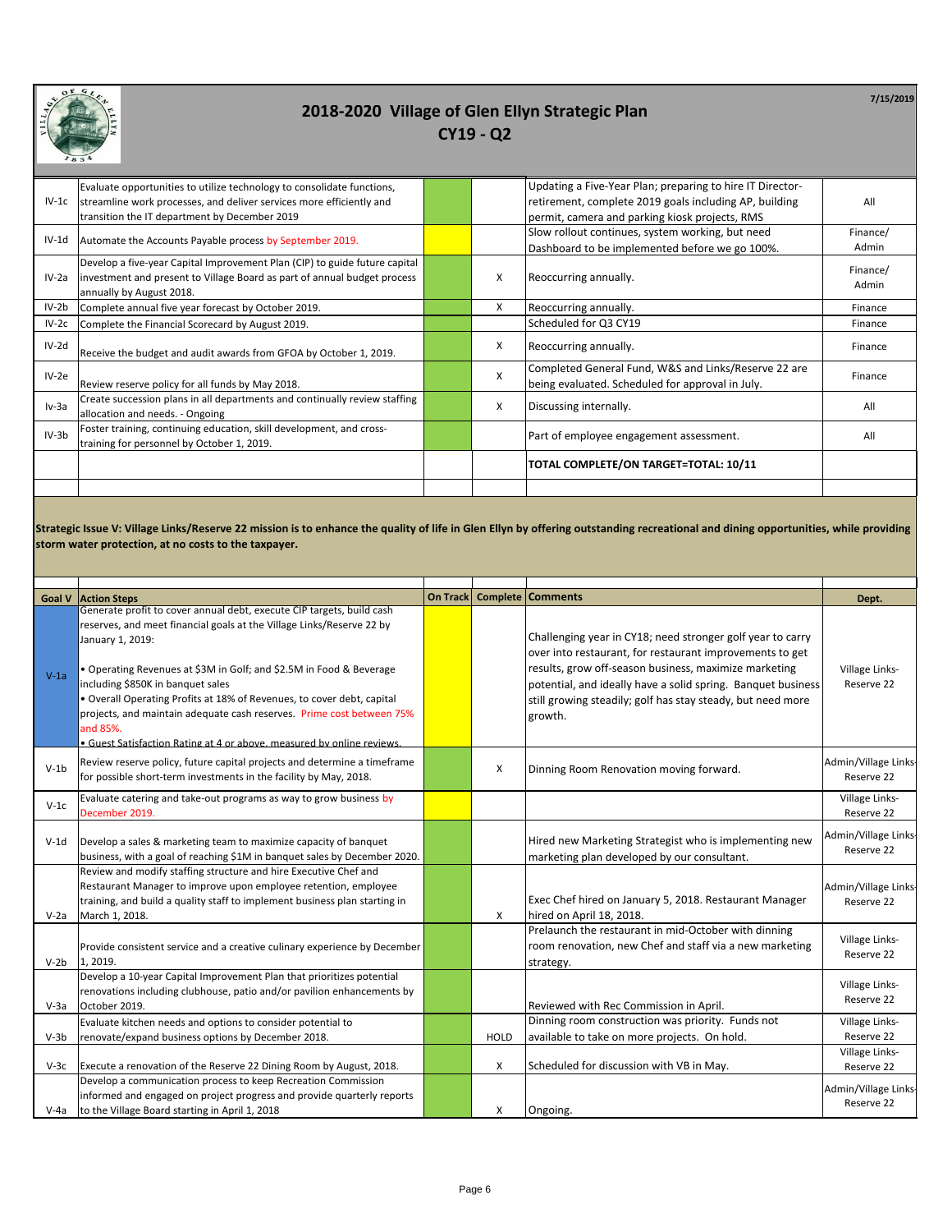

|         | Evaluate opportunities to utilize technology to consolidate functions,     |   | Updating a Five-Year Plan; preparing to hire IT Director- |          |
|---------|----------------------------------------------------------------------------|---|-----------------------------------------------------------|----------|
| $IV-1c$ | streamline work processes, and deliver services more efficiently and       |   | retirement, complete 2019 goals including AP, building    | All      |
|         | transition the IT department by December 2019                              |   | permit, camera and parking kiosk projects, RMS            |          |
| $IV-1d$ | Automate the Accounts Payable process by September 2019.                   |   | Slow rollout continues, system working, but need          | Finance/ |
|         |                                                                            |   | Dashboard to be implemented before we go 100%.            | Admin    |
|         | Develop a five-year Capital Improvement Plan (CIP) to guide future capital |   |                                                           | Finance/ |
| $IV-2a$ | investment and present to Village Board as part of annual budget process   | X | Reoccurring annually.                                     | Admin    |
|         | annually by August 2018.                                                   |   |                                                           |          |
| IV-2b   | Complete annual five year forecast by October 2019.                        | X | Reoccurring annually.                                     | Finance  |
| $IV-2c$ | Complete the Financial Scorecard by August 2019.                           |   | Scheduled for Q3 CY19                                     | Finance  |
| IV-2d   | Receive the budget and audit awards from GFOA by October 1, 2019.          | X | Reoccurring annually.                                     | Finance  |
| $IV-2e$ |                                                                            | X | Completed General Fund, W&S and Links/Reserve 22 are      | Finance  |
|         | Review reserve policy for all funds by May 2018.                           |   | being evaluated. Scheduled for approval in July.          |          |
| $Iv-3a$ | Create succession plans in all departments and continually review staffing | X | Discussing internally.                                    | All      |
|         | allocation and needs. - Ongoing                                            |   |                                                           |          |
| $IV-3b$ | Foster training, continuing education, skill development, and cross-       |   | Part of employee engagement assessment.                   | All      |
|         | training for personnel by October 1, 2019.                                 |   |                                                           |          |
|         |                                                                            |   | TOTAL COMPLETE/ON TARGET=TOTAL: 10/11                     |          |
|         |                                                                            |   |                                                           |          |

**Strategic Issue V: Village Links/Reserve 22 mission is to enhance the quality of life in Glen Ellyn by offering outstanding recreational and dining opportunities, while providing storm water protection, at no costs to the taxpayer.**

| <b>Goal V</b> | <b>Action Steps</b>                                                                                                                                                                                                                                                                                                                                                                                                                                                                                                     | On Track |             | <b>Complete Comments</b>                                                                                                                                                                                                                                                                                                  | Dept.                              |
|---------------|-------------------------------------------------------------------------------------------------------------------------------------------------------------------------------------------------------------------------------------------------------------------------------------------------------------------------------------------------------------------------------------------------------------------------------------------------------------------------------------------------------------------------|----------|-------------|---------------------------------------------------------------------------------------------------------------------------------------------------------------------------------------------------------------------------------------------------------------------------------------------------------------------------|------------------------------------|
| $V-1a$        | Generate profit to cover annual debt, execute CIP targets, build cash<br>reserves, and meet financial goals at the Village Links/Reserve 22 by<br>January 1, 2019:<br>• Operating Revenues at \$3M in Golf; and \$2.5M in Food & Beverage<br>including \$850K in banquet sales<br>. Overall Operating Profits at 18% of Revenues, to cover debt, capital<br>projects, and maintain adequate cash reserves. Prime cost between 75%<br>and 85%.<br>· Guest Satisfaction Rating at 4 or above, measured by online reviews. |          |             | Challenging year in CY18; need stronger golf year to carry<br>over into restaurant, for restaurant improvements to get<br>results, grow off-season business, maximize marketing<br>potential, and ideally have a solid spring. Banquet business<br>still growing steadily; golf has stay steady, but need more<br>growth. | Village Links-<br>Reserve 22       |
| $V-1b$        | Review reserve policy, future capital projects and determine a timeframe<br>for possible short-term investments in the facility by May, 2018.                                                                                                                                                                                                                                                                                                                                                                           |          | X           | Dinning Room Renovation moving forward.                                                                                                                                                                                                                                                                                   | Admin/Village Links-<br>Reserve 22 |
| $V-1c$        | Evaluate catering and take-out programs as way to grow business by<br>December 2019.                                                                                                                                                                                                                                                                                                                                                                                                                                    |          |             |                                                                                                                                                                                                                                                                                                                           | Village Links-<br>Reserve 22       |
| $V-1d$        | Develop a sales & marketing team to maximize capacity of banquet<br>business, with a goal of reaching \$1M in banquet sales by December 2020.                                                                                                                                                                                                                                                                                                                                                                           |          |             | Hired new Marketing Strategist who is implementing new<br>marketing plan developed by our consultant.                                                                                                                                                                                                                     | Admin/Village Links-<br>Reserve 22 |
| $V-2a$        | Review and modify staffing structure and hire Executive Chef and<br>Restaurant Manager to improve upon employee retention, employee<br>training, and build a quality staff to implement business plan starting in<br>March 1, 2018.                                                                                                                                                                                                                                                                                     |          | X           | Exec Chef hired on January 5, 2018. Restaurant Manager<br>hired on April 18, 2018.                                                                                                                                                                                                                                        | Admin/Village Links-<br>Reserve 22 |
| $V-2h$        | Provide consistent service and a creative culinary experience by December<br>1.2019.                                                                                                                                                                                                                                                                                                                                                                                                                                    |          |             | Prelaunch the restaurant in mid-October with dinning<br>room renovation, new Chef and staff via a new marketing<br>strategy.                                                                                                                                                                                              | Village Links-<br>Reserve 22       |
| $V-3a$        | Develop a 10-year Capital Improvement Plan that prioritizes potential<br>renovations including clubhouse, patio and/or pavilion enhancements by<br>October 2019.                                                                                                                                                                                                                                                                                                                                                        |          |             | Reviewed with Rec Commission in April.                                                                                                                                                                                                                                                                                    | Village Links-<br>Reserve 22       |
| $V-3b$        | Evaluate kitchen needs and options to consider potential to<br>renovate/expand business options by December 2018.                                                                                                                                                                                                                                                                                                                                                                                                       |          | <b>HOLD</b> | Dinning room construction was priority. Funds not<br>available to take on more projects. On hold.                                                                                                                                                                                                                         | Village Links-<br>Reserve 22       |
| $V-3c$        | Execute a renovation of the Reserve 22 Dining Room by August, 2018.                                                                                                                                                                                                                                                                                                                                                                                                                                                     |          | X           | Scheduled for discussion with VB in May.                                                                                                                                                                                                                                                                                  | Village Links-<br>Reserve 22       |
| V-4a          | Develop a communication process to keep Recreation Commission<br>informed and engaged on project progress and provide quarterly reports<br>to the Village Board starting in April 1, 2018                                                                                                                                                                                                                                                                                                                               |          | X           | Ongoing.                                                                                                                                                                                                                                                                                                                  | Admin/Village Links-<br>Reserve 22 |